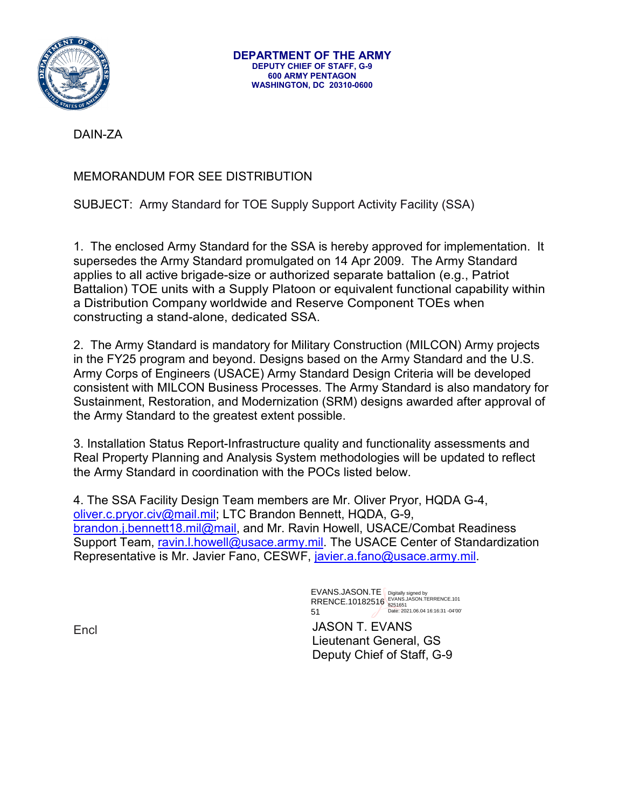

DAIN-ZA

MEMORANDUM FOR SEE DISTRIBUTION

SUBJECT: Army Standard for TOE Supply Support Activity Facility (SSA)

1. The enclosed Army Standard for the SSA is hereby approved for implementation. It supersedes the Army Standard promulgated on 14 Apr 2009. The Army Standard applies to all active brigade-size or authorized separate battalion (e.g., Patriot Battalion) TOE units with a Supply Platoon or equivalent functional capability within a Distribution Company worldwide and Reserve Component TOEs when constructing a stand-alone, dedicated SSA.

2. The Army Standard is mandatory for Military Construction (MILCON) Army projects in the FY25 program and beyond. Designs based on the Army Standard and the U.S. Army Corps of Engineers (USACE) Army Standard Design Criteria will be developed consistent with MILCON Business Processes. The Army Standard is also mandatory for Sustainment, Restoration, and Modernization (SRM) designs awarded after approval of the Army Standard to the greatest extent possible.

3. Installation Status Report-Infrastructure quality and functionality assessments and Real Property Planning and Analysis System methodologies will be updated to reflect the Army Standard in coordination with the POCs listed below.

4. The SSA Facility Design Team members are Mr. Oliver Pryor, HQDA G-4, [oliver.c.pryor.civ@mail.mil;](mailto:oliver.c.pryor.civ@mail.mil) LTC Brandon Bennett, HQDA, G-9, [brandon.j.bennett18.mil@mail,](mailto:brandon.j.bennett18.mil@mail) and Mr. Ravin Howell, USACE/Combat Readiness Support Team, [ravin.l.howell@usace.army.mil.](mailto:ravin.l.howell@usace.army.mil) The USACE Center of Standardization Representative is Mr. Javier Fano, CESWF, [javier.a.fano@usace.army.mil.](mailto:javier.a.fano@usace.army.mil)

> EVANS.JASON.TE RRENCE.10182516 51 Digitally signed by EVANS.JASON.TERRENCE.101 8251651 Date: 2021.06.04 16:16:31 -04'00'

JASON T. EVANS Lieutenant General, GS Deputy Chief of Staff, G-9

**Encl**